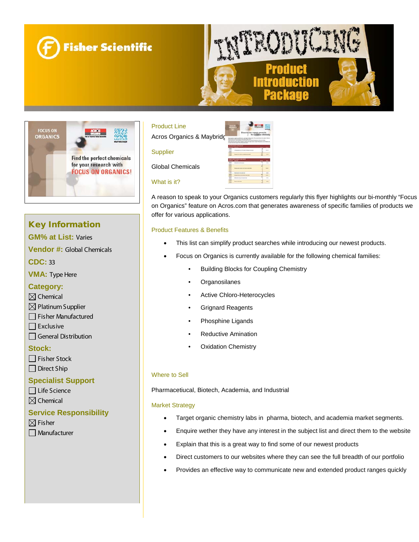





# Key Information

**GM% at List:** Varies

**Vendor #:** Global Chemicals

**CDC:** 33

**VMA:** Type Here

### **Category:**

- $\boxtimes$  Chemical
- $\boxtimes$  Platinum Supplier
- Fisher Manufactured
- $\Box$  Exclusive
- $\Box$  General Distribution

### **Stock:**

 $\Box$  Fisher Stock  $\Box$  Direct Ship

### **Specialist Support**

Life Science

# $\boxtimes$  Chemical

## **Service Responsibility**

 $\boxtimes$  Fisher **Manufacturer** 



A reason to speak to your Organics customers regularly this flyer highlights our bi-monthly "Focus on Organics" feature on Acros.com that generates awareness of specific families of products we offer for various applications.

#### Product Features & Benefits

- This list can simplify product searches while introducing our newest products.
- Focus on Organics is currently available for the following chemical families:
	- Building Blocks for Coupling Chemistry
	- **Organosilanes**
	- Active Chloro-Heterocycles
	- Grignard Reagents
	- Phosphine Ligands
	- Reductive Amination
	- **Oxidation Chemistry**

#### Where to Sell

Pharmacetiucal, Biotech, Academia, and Industrial

#### Market Strategy

- Target organic chemistry labs in pharma, biotech, and academia market segments.
- Enquire wether they have any interest in the subject list and direct them to the website
- Explain that this is a great way to find some of our newest products
- Direct customers to our websites where they can see the full breadth of our portfolio
- Provides an effective way to communicate new and extended product ranges quickly